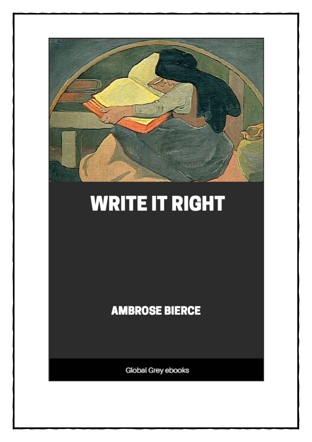

# **WRITE IT RIGHT**

**AMBROSE BIERCE** 

Global Grey ebooks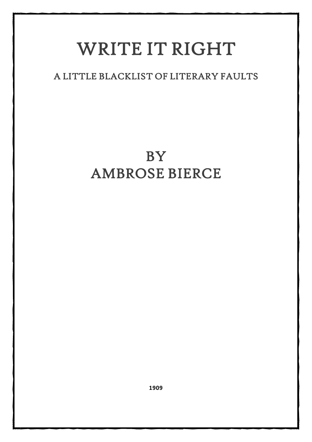## WRITE IT RIGHT

### A LITTLE BLACKLIST OF LITERARY FAULTS

## BY AMBROSE BIERCE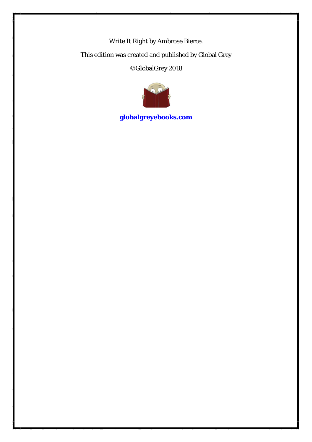Write It Right by Ambrose Bierce. This edition was created and published by Global Grey ©GlobalGrey 2018



**[globalgreyebooks.com](https://www.globalgreyebooks.com/)**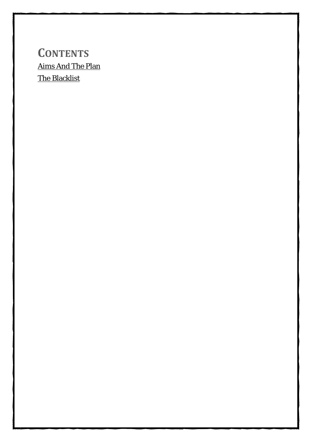### **CONTENTS** [Aims And The Plan](#page-4-0) [The Blacklist](#page-6-0)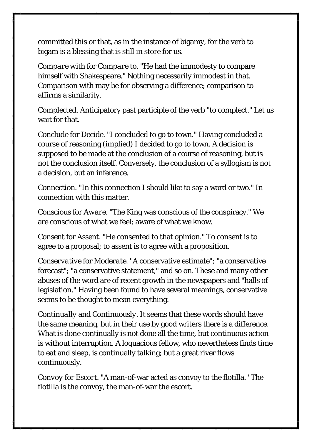committed this or that, as in the instance of bigamy, for the verb to bigam is a blessing that is still in store for us.

*Compare with* for *Compare to*. "He had the immodesty to compare himself with Shakespeare." Nothing necessarily immodest in that. Comparison with may be for observing a difference; comparison to affirms a similarity.

*Complected*. Anticipatory past participle of the verb "to complect." Let us wait for that.

*Conclude* for *Decide*. "I concluded to go to town." Having concluded a course of reasoning (implied) I decided to go to town. A decision is supposed to be made at the conclusion of a course of reasoning, but is not the conclusion itself. Conversely, the conclusion of a syllogism is not a decision, but an inference.

*Connection*. "In this connection I should like to say a word or two." In connection with this matter.

*Conscious* for *Aware*. "The King was conscious of the conspiracy." We are conscious of what we feel; aware of what we know.

*Consent* for *Assent*. "He consented to that opinion." To consent is to agree to a proposal; to assent is to agree with a proposition.

*Conservative* for *Moderate*. "A conservative estimate"; "a conservative forecast"; "a conservative statement," and so on. These and many other abuses of the word are of recent growth in the newspapers and "halls of legislation." Having been found to have several meanings, conservative seems to be thought to mean everything.

*Continually* and *Continuously*. It seems that these words should have the same meaning, but in their use by good writers there is a difference. What is done continually is not done all the time, but continuous action is without interruption. A loquacious fellow, who nevertheless finds time to eat and sleep, is continually talking; but a great river flows continuously.

*Convoy* for *Escort*. "A man-of-war acted as convoy to the flotilla." The flotilla is the convoy, the man-of-war the escort.

9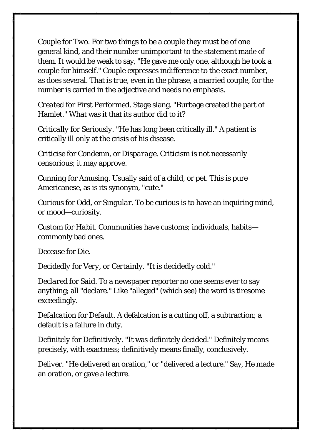*Couple* for *Two*. For two things to be a couple they must be of one general kind, and their number unimportant to the statement made of them. It would be weak to say, "He gave me only one, although he took a couple for himself." Couple expresses indifference to the exact number, as does several. That is true, even in the phrase, a married couple, for the number is carried in the adjective and needs no emphasis.

*Created* for *First Performed*. Stage slang. "Burbage created the part of Hamlet." What was it that its author did to it?

*Critically* for *Seriously*. "He has long been critically ill." A patient is critically ill only at the crisis of his disease.

*Criticise* for *Condemn*, or *Disparage*. Criticism is not necessarily censorious; it may approve.

*Cunning* for *Amusing*. Usually said of a child, or pet. This is pure Americanese, as is its synonym, "cute."

*Curious* for *Odd*, or *Singular*. To be curious is to have an inquiring mind, or mood—curiosity.

*Custom* for *Habit*. Communities have customs; individuals, habits commonly bad ones.

*Decease* for *Die*.

*Decidedly* for *Very*, or *Certainly*. "It is decidedly cold."

*Declared* for *Said*. To a newspaper reporter no one seems ever to say anything; all "declare." Like "alleged" (which see) the word is tiresome exceedingly.

*Defalcation* for *Default*. A defalcation is a cutting off, a subtraction; a default is a failure in duty.

*Definitely* for *Definitively*. "It was definitely decided." Definitely means precisely, with exactness; definitively means finally, conclusively.

*Deliver*. "He delivered an oration," or "delivered a lecture." Say, He made an oration, or gave a lecture.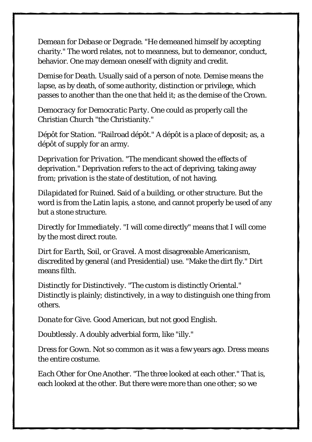*Demean* for *Debase* or *Degrade*. "He demeaned himself by accepting charity." The word relates, not to meanness, but to demeanor, conduct, behavior. One may demean oneself with dignity and credit.

*Demise* for *Death*. Usually said of a person of note. Demise means the lapse, as by death, of some authority, distinction or privilege, which passes to another than the one that held it; as the demise of the Crown.

*Democracy* for *Democratic Party*. One could as properly call the Christian Church "the Christianity."

*Dépôt* for *Station*. "Railroad dépôt." A dépôt is a place of deposit; as, a dépôt of supply for an army.

*Deprivation* for *Privation*. "The mendicant showed the effects of deprivation." Deprivation refers to the act of depriving, taking away from; privation is the state of destitution, of not having.

*Dilapidated* for *Ruined*. Said of a building, or other structure. But the word is from the Latin *lapis*, a stone, and cannot properly be used of any but a stone structure.

*Directly* for *Immediately*. "I will come directly" means that I will come by the most direct route.

*Dirt* for *Earth*, *Soil*, or *Gravel*. A most disagreeable Americanism, discredited by general (and Presidential) use. "Make the dirt fly." Dirt means filth.

*Distinctly* for *Distinctively*. "The custom is distinctly Oriental." Distinctly is plainly; distinctively, in a way to distinguish one thing from others.

*Donate* for *Give*. Good American, but not good English.

*Doubtlessly*. A doubly adverbial form, like "illy."

*Dress* for *Gown*. Not so common as it was a few years ago. Dress means the entire costume.

*Each Other* for *One Another*. "The three looked at each other." That is, each looked at the other. But there were more than one other; so we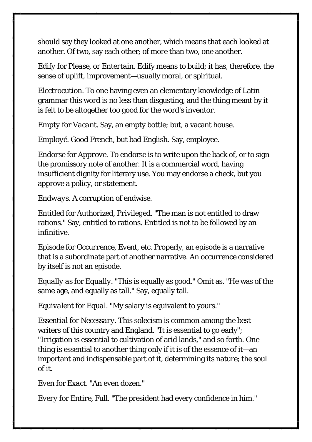should say they looked at one another, which means that each looked at another. Of two, say each other; of more than two, one another.

*Edify* for *Please*, or *Entertain*. Edify means to build; it has, therefore, the sense of uplift, improvement—usually moral, or spiritual.

*Electrocution*. To one having even an elementary knowledge of Latin grammar this word is no less than disgusting, and the thing meant by it is felt to be altogether too good for the word's inventor.

*Empty* for *Vacant*. Say, an empty bottle; but, a vacant house.

*Employé*. Good French, but bad English. Say, employee.

*Endorse* for *Approve*. To endorse is to write upon the back of, or to sign the promissory note of another. It is a commercial word, having insufficient dignity for literary use. You may endorse a check, but you approve a policy, or statement.

*Endways*. A corruption of endwise.

*Entitled* for *Authorized*, *Privileged.* "The man is not entitled to draw rations." Say, entitled to rations. Entitled is not to be followed by an infinitive.

*Episode* for *Occurrence*, *Event*, etc. Properly, an episode is a narrative that is a subordinate part of another narrative. An occurrence considered by itself is not an episode.

*Equally as* for *Equally*. "This is equally as good." Omit as. "He was of the same age, and equally as tall." Say, equally tall.

*Equivalent* for *Equal*. "My salary is equivalent to yours."

*Essential* for *Necessary*. This solecism is common among the best writers of this country and England. "It is essential to go early"; "Irrigation is essential to cultivation of arid lands," and so forth. One thing is essential to another thing only if it is of the essence of it—an important and indispensable part of it, determining its nature; the soul of it.

*Even* for *Exact*. "An even dozen."

*Every* for *Entire*, *Full*. "The president had every confidence in him."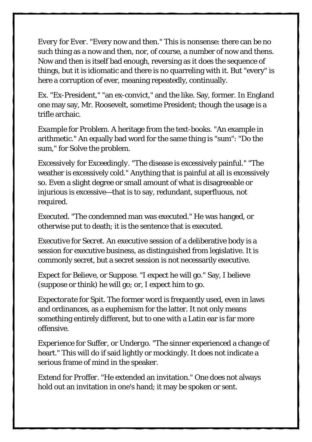*Every* for *Ever*. "Every now and then." This is nonsense: there can be no such thing as a now and then, nor, of course, a number of now and thens. Now and then is itself bad enough, reversing as it does the sequence of things, but it is idiomatic and there is no quarreling with it. But "every" is here a corruption of ever, meaning repeatedly, continually.

*Ex*. "Ex-President," "an ex-convict," and the like. Say, former. In England one may say, Mr. Roosevelt, sometime President; though the usage is a trifle archaic.

*Example* for *Problem*. A heritage from the text-books. "An example in arithmetic." An equally bad word for the same thing is "sum": "Do the sum," for Solve the problem.

*Excessively* for *Exceedingly*. "The disease is excessively painful." "The weather is excessively cold." Anything that is painful at all is excessively so. Even a slight degree or small amount of what is disagreeable or injurious is excessive—that is to say, redundant, superfluous, not required.

*Executed*. "The condemned man was executed." He was hanged, or otherwise put to death; it is the sentence that is executed.

*Executive* for *Secret*. An executive session of a deliberative body is a session for executive business, as distinguished from legislative. It is commonly secret, but a secret session is not necessarily executive.

*Expect* for *Believe*, or *Suppose*. "I expect he will go." Say, I believe (suppose or think) he will go; or, I expect him to go.

*Expectorate* for *Spit*. The former word is frequently used, even in laws and ordinances, as a euphemism for the latter. It not only means something entirely different, but to one with a Latin ear is far more offensive.

*Experience* for *Suffer*, or *Undergo*. "The sinner experienced a change of heart." This will do if said lightly or mockingly. It does not indicate a serious frame of mind in the speaker.

*Extend* for *Proffer*. "He extended an invitation." One does not always hold out an invitation in one's hand; it may be spoken or sent.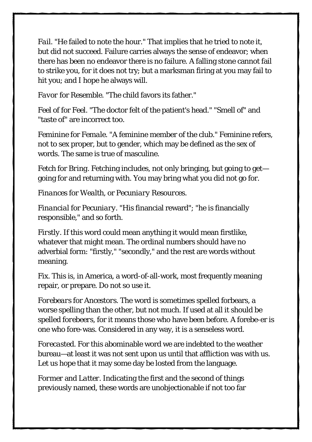*Fail*. "He failed to note the hour." That implies that he tried to note it, but did not succeed. Failure carries always the sense of endeavor; when there has been no endeavor there is no failure. A falling stone cannot fail to strike you, for it does not try; but a marksman firing at you may fail to hit you; and I hope he always will.

*Favor* for *Resemble*. "The child favors its father."

*Feel of* for *Feel*. "The doctor felt of the patient's head." "Smell of" and "taste of" are incorrect too.

*Feminine* for *Female*. "A feminine member of the club." Feminine refers, not to sex proper, but to gender, which may be defined as the sex of words. The same is true of masculine.

*Fetch* for *Bring*. Fetching includes, not only bringing, but going to get going for and returning with. You may bring what you did not go for.

*Finances* for *Wealth*, or *Pecuniary Resources*.

*Financial* for *Pecuniary*. "His financial reward"; "he is financially responsible," and so forth.

*Firstly*. If this word could mean anything it would mean firstlike, whatever that might mean. The ordinal numbers should have no adverbial form: "firstly," "secondly," and the rest are words without meaning.

*Fix*. This is, in America, a word-of-all-work, most frequently meaning repair, or prepare. Do not so use it.

*Forebears* for *Ancestors*. The word is sometimes spelled forbears, a worse spelling than the other, but not much. If used at all it should be spelled *forebeers*, for it means those who have *been* before. A forebe-er is one who fore-was. Considered in any way, it is a senseless word.

*Forecasted*. For this abominable word we are indebted to the weather bureau—at least it was not sent upon us until that affliction was with us. Let us hope that it may some day be losted from the language.

*Former* and *Latter*. Indicating the first and the second of things previously named, these words are unobjectionable if not too far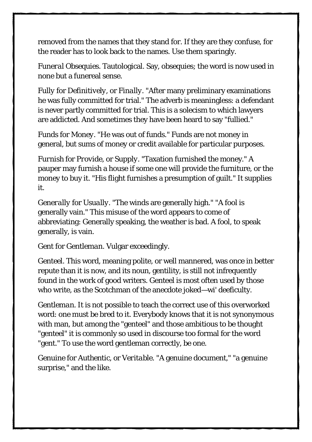removed from the names that they stand for. If they are they confuse, for the reader has to look back to the names. Use them sparingly.

*Funeral Obsequies*. Tautological. Say, obsequies; the word is now used in none but a funereal sense.

*Fully* for *Definitively*, or *Finally*. "After many preliminary examinations he was fully committed for trial." The adverb is meaningless: a defendant is never partly committed for trial. This is a solecism to which lawyers are addicted. And sometimes they have been heard to say "fullied."

*Funds* for *Money*. "He was out of funds." Funds are not money in general, but sums of money or credit available for particular purposes.

*Furnish* for *Provide*, or *Supply*. "Taxation furnished the money." A pauper may furnish a house if some one will provide the furniture, or the money to buy it. "His flight furnishes a presumption of guilt." It supplies it.

*Generally* for *Usually*. "The winds are generally high." "A fool is generally vain." This misuse of the word appears to come of abbreviating: Generally speaking, the weather is bad. A fool, to speak generally, is vain.

*Gent* for *Gentleman*. Vulgar exceedingly.

*Genteel*. This word, meaning polite, or well mannered, was once in better repute than it is now, and its noun, gentility, is still not infrequently found in the work of good writers. Genteel is most often used by those who write, as the Scotchman of the anecdote joked—wi' deeficulty.

*Gentleman*. It is not possible to teach the correct use of this overworked word: one must be bred to it. Everybody knows that it is not synonymous with man, but among the "genteel" and those ambitious to be thought "genteel" it is commonly so used in discourse too formal for the word "gent." To use the word gentleman correctly, be one.

*Genuine* for *Authentic*, or *Veritable.* "A genuine document," "a genuine surprise," and the like.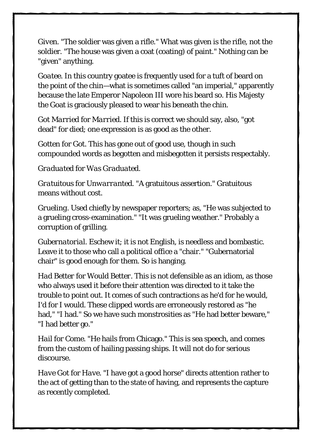*Given*. "The soldier was given a rifle." What was given is the rifle, not the soldier. "The house was given a coat (coating) of paint." Nothing can be "given" anything.

*Goatee*. In this country goatee is frequently used for a tuft of beard on the point of the chin—what is sometimes called "an imperial," apparently because the late Emperor Napoleon III wore his beard so. His Majesty the Goat is graciously pleased to wear his beneath the chin.

*Got Married* for *Married*. If this is correct we should say, also, "got dead" for died; one expression is as good as the other.

*Gotten* for *Got*. This has gone out of good use, though in such compounded words as begotten and misbegotten it persists respectably.

#### *Graduated* for *Was Graduated*.

*Gratuitous* for *Unwarranted*. "A gratuitous assertion." Gratuitous means without cost.

*Grueling*. Used chiefly by newspaper reporters; as, "He was subjected to a grueling cross-examination." "It was grueling weather." Probably a corruption of grilling.

*Gubernatorial*. Eschew it; it is not English, is needless and bombastic. Leave it to those who call a political office a "chair." "Gubernatorial chair" is good enough for them. So is hanging.

*Had Better* for *Would Better*. This is not defensible as an idiom, as those who always used it before their attention was directed to it take the trouble to point out. It comes of such contractions as he'd for he would, I'd for I would. These clipped words are erroneously restored as "he had." "I had." So we have such monstrosities as "He had better beware." "I had better go."

*Hail* for *Come*. "He hails from Chicago." This is sea speech, and comes from the custom of hailing passing ships. It will not do for serious discourse.

*Have Got* for *Have*. "I have got a good horse" directs attention rather to the act of getting than to the state of having, and represents the capture as recently completed.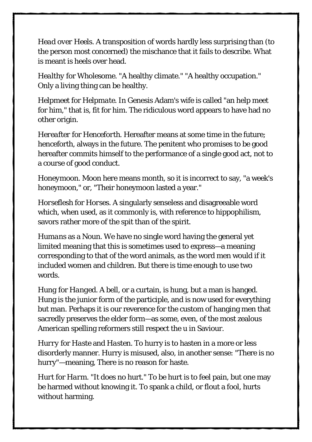*Head over Heels*. A transposition of words hardly less surprising than (to the person most concerned) the mischance that it fails to describe. What is meant is heels over head.

*Healthy* for *Wholesome*. "A healthy climate." "A healthy occupation." Only a living thing can be healthy.

*Helpmeet* for *Helpmate*. In Genesis Adam's wife is called "an help meet for him," that is, fit for him. The ridiculous word appears to have had no other origin.

*Hereafter* for *Henceforth*. Hereafter means at some time in the future; henceforth, always in the future. The penitent who promises to be good hereafter commits himself to the performance of a single good act, not to a course of good conduct.

*Honeymoon*. Moon here means month, so it is incorrect to say, "a week's honeymoon," or, "Their honeymoon lasted a year."

*Horseflesh* for *Horses*. A singularly senseless and disagreeable word which, when used, as it commonly is, with reference to hippophilism, savors rather more of the spit than of the spirit.

*Humans* as a Noun. We have no single word having the general yet limited meaning that this is sometimes used to express—a meaning corresponding to that of the word animals, as the word men would if it included women and children. But there is time enough to use two words.

*Hung* for *Hanged*. A bell, or a curtain, is hung, but a man is hanged. Hung is the junior form of the participle, and is now used for everything but man. Perhaps it is our reverence for the custom of hanging men that sacredly preserves the elder form—as some, even, of the most zealous American spelling reformers still respect the u in Saviour.

*Hurry* for *Haste* and *Hasten*. To hurry is to hasten in a more or less disorderly manner. Hurry is misused, also, in another sense: "There is no hurry"—meaning, There is no reason for haste.

*Hurt* for *Harm*. "It does no hurt." To be hurt is to feel pain, but one may be harmed without knowing it. To spank a child, or flout a fool, hurts without harming.

17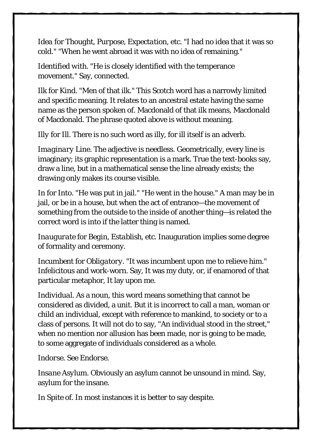*Idea* for *Thought*, *Purpose*, *Expectation*, etc. "I had no idea that it was so cold." "When he went abroad it was with no idea of remaining."

*Identified with*. "He is closely identified with the temperance movement." Say, connected.

*Ilk* for *Kind*. "Men of that ilk." This Scotch word has a narrowly limited and specific meaning. It relates to an ancestral estate having the same name as the person spoken of. Macdonald of that ilk means, Macdonald of Macdonald. The phrase quoted above is without meaning.

*Illy* for *Ill*. There is no such word as illy, for ill itself is an adverb.

*Imaginary Line*. The adjective is needless. Geometrically, every line is imaginary; its graphic representation is a mark. True the text-books say, draw a line, but in a mathematical sense the line already exists; the drawing only makes its course visible.

*In* for *Into*. "He was put in jail." "He went in the house." A man may be in jail, or be in a house, but when the act of entrance—the movement of something from the outside to the inside of another thing—is related the correct word is into if the latter thing is named.

*Inaugurate* for *Begin*, *Establish*, etc. Inauguration implies some degree of formality and ceremony.

*Incumbent* for *Obligatory*. "It was incumbent upon me to relieve him." Infelicitous and work-worn. Say, It was my duty, or, if enamored of that particular metaphor, It lay upon me.

*Individual*. As a noun, this word means something that cannot be considered as divided, a unit. But it is incorrect to call a man, woman or child an individual, except with reference to mankind, to society or to a class of persons. It will not do to say, "An individual stood in the street," when no mention nor allusion has been made, nor is going to be made, to some aggregate of individuals considered as a whole.

*Indorse*. See *Endorse*.

*Insane Asylum*. Obviously an asylum cannot be unsound in mind. Say, asylum for the insane.

*In Spite of*. In most instances it is better to say despite.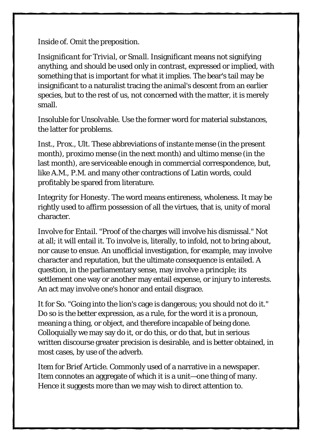*Inside of*. Omit the preposition.

*Insignificant* for *Trivial*, or *Small*. Insignificant means not signifying anything, and should be used only in contrast, expressed or implied, with something that is important for what it implies. The bear's tail may be insignificant to a naturalist tracing the animal's descent from an earlier species, but to the rest of us, not concerned with the matter, it is merely small.

*Insoluble* for *Unsolvable*. Use the former word for material substances, the latter for problems.

*Inst.*, *Prox.*, *Ult.* These abbreviations of *instante mense* (in the present month), *proximo mense* (in the next month) and *ultimo mense* (in the last month), are serviceable enough in commercial correspondence, but, like A.M., P.M. and many other contractions of Latin words, could profitably be spared from literature.

*Integrity* for *Honesty*. The word means entireness, wholeness. It may be rightly used to affirm possession of all the virtues, that is, unity of moral character.

*Involve* for *Entail*. "Proof of the charges will involve his dismissal." Not at all; it will entail it. To involve is, literally, to infold, not to bring about, nor cause to ensue. An unofficial investigation, for example, may involve character and reputation, but the ultimate consequence is entailed. A question, in the parliamentary sense, may involve a principle; its settlement one way or another may entail expense, or injury to interests. An act may involve one's honor and entail disgrace.

*It* for *So*. "Going into the lion's cage is dangerous; you should not do it." Do so is the better expression, as a rule, for the word it is a pronoun, meaning a thing, or object, and therefore incapable of being done. Colloquially we may say do it, or do this, or do that, but in serious written discourse greater precision is desirable, and is better obtained, in most cases, by use of the adverb.

*Item* for *Brief Article*. Commonly used of a narrative in a newspaper. Item connotes an aggregate of which it is a unit—one thing of many. Hence it suggests more than we may wish to direct attention to.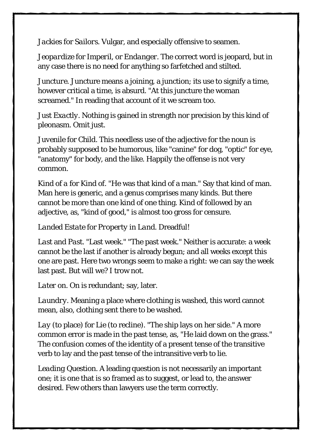*Jackies* for *Sailors*. Vulgar, and especially offensive to seamen.

*Jeopardize* for *Imperil*, or *Endanger*. The correct word is jeopard, but in any case there is no need for anything so farfetched and stilted.

*Juncture*. Juncture means a joining, a junction; its use to signify a time, however critical a time, is absurd. "At this juncture the woman screamed." In reading that account of it we scream too.

*Just Exactly*. Nothing is gained in strength nor precision by this kind of pleonasm. Omit just.

*Juvenile* for *Child*. This needless use of the adjective for the noun is probably supposed to be humorous, like "canine" for dog, "optic" for eye, "anatomy" for body, and the like. Happily the offense is not very common.

*Kind of a* for *Kind of*. "He was that kind of a man." Say that kind of man. Man here is generic, and a genus comprises many kinds. But there cannot be more than one kind of one thing. *Kind of* followed by an adjective, as, "kind of good," is almost too gross for censure.

#### *Landed Estate* for *Property in Land*. Dreadful!

*Last* and *Past*. "Last week." "The past week." Neither is accurate: a week cannot be the last if another is already begun; and all weeks except this one are past. Here two wrongs seem to make a right: we can say the week last past. But will we? I trow not.

*Later on*. On is redundant; say, later.

*Laundry*. Meaning a place where clothing is washed, this word cannot mean, also, clothing sent there to be washed.

*Lay* (to place) for *Lie* (to recline). "The ship lays on her side." A more common error is made in the past tense, as, "He laid down on the grass." The confusion comes of the identity of a present tense of the transitive verb to lay and the past tense of the intransitive verb to lie.

*Leading Question*. A leading question is not necessarily an important one; it is one that is so framed as to suggest, or lead to, the answer desired. Few others than lawyers use the term correctly.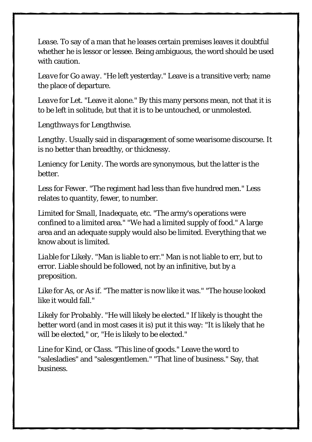*Lease*. To say of a man that he leases certain premises leaves it doubtful whether he is lessor or lessee. Being ambiguous, the word should be used with caution.

*Leave* for *Go away*. "He left yesterday." Leave is a transitive verb; name the place of departure.

*Leave* for *Let*. "Leave it alone." By this many persons mean, not that it is to be left in solitude, but that it is to be untouched, or unmolested.

#### *Lengthways* for *Lengthwise*.

*Lengthy*. Usually said in disparagement of some wearisome discourse. It is no better than breadthy, or thicknessy.

*Leniency* for *Lenity*. The words are synonymous, but the latter is the better.

*Less* for *Fewer*. "The regiment had less than five hundred men." Less relates to quantity, fewer, to number.

*Limited* for *Small*, *Inadequate*, etc. "The army's operations were confined to a limited area." "We had a limited supply of food." A large area and an adequate supply would also be limited. Everything that we know about is limited.

*Liable* for *Likely*. "Man is liable to err." Man is not liable to err, but to error. Liable should be followed, not by an infinitive, but by a preposition.

*Like* for *As*, or *As if*. "The matter is now like it was." "The house looked like it would fall."

*Likely* for *Probably*. "He will likely be elected." If likely is thought the better word (and in most cases it is) put it this way: "It is likely that he will be elected," or, "He is likely to be elected."

*Line* for *Kind*, or *Class*. "This line of goods." Leave the word to "salesladies" and "salesgentlemen." "That line of business." Say, that business.

21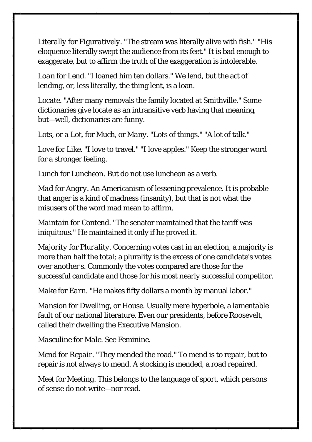*Literally* for *Figuratively*. "The stream was literally alive with fish." "His eloquence literally swept the audience from its feet." It is bad enough to exaggerate, but to affirm the truth of the exaggeration is intolerable.

*Loan* for *Lend*. "I loaned him ten dollars." We lend, but the act of lending, or, less literally, the thing lent, is a loan.

*Locate*. "After many removals the family located at Smithville." Some dictionaries give locate as an intransitive verb having that meaning, but—well, dictionaries are funny.

*Lots*, or *a Lot*, for *Much*, or *Many*. "Lots of things." "A lot of talk."

*Love* for *Like*. "I love to travel." "I love apples." Keep the stronger word for a stronger feeling.

*Lunch* for *Luncheon*. But do not use luncheon as a verb.

*Mad* for *Angry*. An Americanism of lessening prevalence. It is probable that anger is a kind of madness (insanity), but that is not what the misusers of the word mad mean to affirm.

*Maintain* for *Contend*. "The senator maintained that the tariff was iniquitous." He maintained it only if he proved it.

*Majority* for *Plurality*. Concerning votes cast in an election, a majority is more than half the total; a plurality is the excess of one candidate's votes over another's. Commonly the votes compared are those for the successful candidate and those for his most nearly successful competitor.

*Make* for *Earn*. "He makes fifty dollars a month by manual labor."

*Mansion* for *Dwelling*, or *House*. Usually mere hyperbole, a lamentable fault of our national literature. Even our presidents, before Roosevelt, called their dwelling the Executive Mansion.

*Masculine* for *Male*. See *Feminine*.

*Mend* for *Repair*. "They mended the road." To mend is to repair, but to repair is not always to mend. A stocking is mended, a road repaired.

*Meet* for *Meeting*. This belongs to the language of sport, which persons of sense do not write—nor read.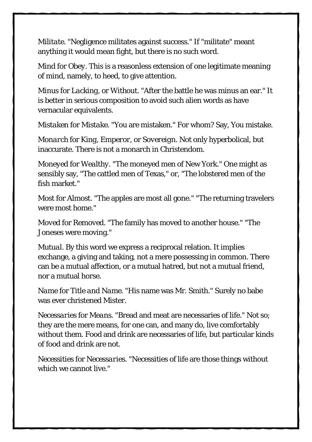*Militate*. "Negligence militates against success." If "militate" meant anything it would mean fight, but there is no such word.

*Mind* for *Obey*. This is a reasonless extension of one legitimate meaning of mind, namely, to heed, to give attention.

*Minus* for *Lacking*, or *Without*. "After the battle he was minus an ear." It is better in serious composition to avoid such alien words as have vernacular equivalents.

*Mistaken* for *Mistake*. "You are mistaken." For whom? Say, You mistake.

*Monarch* for *King, Emperor*, or *Sovereign*. Not only hyperbolical, but inaccurate. There is not a monarch in Christendom.

*Moneyed* for *Wealthy*. "The moneyed men of New York." One might as sensibly say, "The cattled men of Texas," or, "The lobstered men of the fish market."

*Most* for *Almost*. "The apples are most all gone." "The returning travelers were most home."

*Moved* for *Removed*. "The family has moved to another house." "The Joneses were moving."

*Mutual*. By this word we express a reciprocal relation. It implies exchange, a giving and taking, not a mere possessing in common. There can be a mutual affection, or a mutual hatred, but not a mutual friend, nor a mutual horse.

*Name* for *Title and Name*. "His name was Mr. Smith." Surely no babe was ever christened Mister.

*Necessaries* for *Means*. "Bread and meat are necessaries of life." Not so; they are the mere means, for one can, and many do, live comfortably without them. Food and drink are necessaries of life, but particular kinds of food and drink are not.

*Necessities* for *Necessaries*. "Necessities of life are those things without which we cannot live."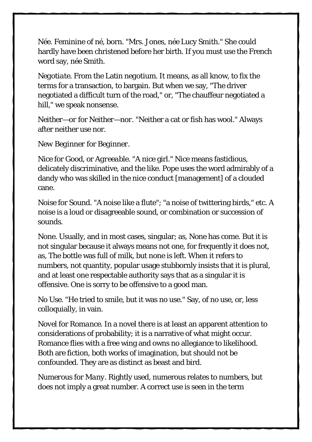*Née*. Feminine of *né*, born. "Mrs. Jones, *née* Lucy Smith." She could hardly have been christened before her birth. If you must use the French word say, *née* Smith.

*Negotiate*. From the Latin *negotium*. It means, as all know, to fix the terms for a transaction, to bargain. But when we say, "The driver negotiated a difficult turn of the road," or, "The chauffeur negotiated a hill," we speak nonsense.

*Neither—or* for *Neither—nor*. "Neither a cat or fish has wool." Always after neither use nor.

*New Beginner* for *Beginner*.

*Nice* for *Good*, or *Agreeable*. "A nice girl." Nice means fastidious, delicately discriminative, and the like. Pope uses the word admirably of a dandy who was skilled in the nice conduct [management] of a clouded cane.

*Noise* for *Sound*. "A noise like a flute"; "a noise of twittering birds," etc. A noise is a loud or disagreeable sound, or combination or succession of sounds.

*None*. Usually, and in most cases, singular; as, None has come. But it is not singular because it always means not one, for frequently it does not, as, The bottle was full of milk, but none is left. When it refers to numbers, not quantity, popular usage stubbornly insists that it is plural, and at least one respectable authority says that as a singular it is offensive. One is sorry to be offensive to a good man.

*No Use*. "He tried to smile, but it was no use." Say, of no use, or, less colloquially, in vain.

*Novel* for *Romance*. In a novel there is at least an apparent attention to considerations of probability; it is a narrative of what might occur. Romance flies with a free wing and owns no allegiance to likelihood. Both are fiction, both works of imagination, but should not be confounded. They are as distinct as beast and bird.

*Numerous* for *Many*. Rightly used, numerous relates to numbers, but does not imply a great number. A correct use is seen in the term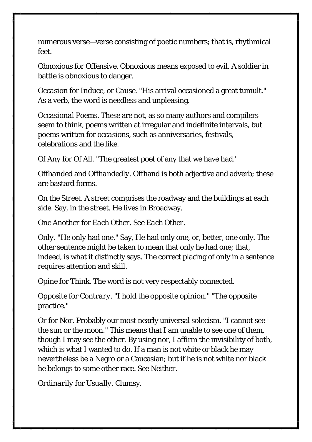numerous verse—verse consisting of poetic numbers; that is, rhythmical feet.

*Obnoxious* for *Offensive*. Obnoxious means exposed to evil. A soldier in battle is obnoxious to danger.

*Occasion* for *Induce*, or *Cause*. "His arrival occasioned a great tumult." As a verb, the word is needless and unpleasing.

*Occasional Poems*. These are not, as so many authors and compilers seem to think, poems written at irregular and indefinite intervals, but poems written for *occasions*, such as anniversaries, festivals, celebrations and the like.

*Of Any* for *Of All*. "The greatest poet of any that we have had."

*Offhanded* and *Offhandedly*. Offhand is both adjective and adverb; these are bastard forms.

*On the Street*. A street comprises the roadway and the buildings at each side. Say, in the street. He lives in Broadway.

#### *One Another* for *Each Other*. See *Each Other*.

*Only*. "He only had one." Say, He had only one, or, better, one only. The other sentence might be taken to mean that only he had one; that, indeed, is what it distinctly says. The correct placing of only in a sentence requires attention and skill.

*Opine* for *Think*. The word is not very respectably connected.

*Opposite* for *Contrary*. "I hold the opposite opinion." "The opposite practice."

*Or* for *Nor*. Probably our most nearly universal solecism. "I cannot see the sun or the moon." This means that I am unable to see one of them, though I may see the other. By using nor, I affirm the invisibility of both, which is what I wanted to do. If a man is not white or black he may nevertheless be a Negro or a Caucasian; but if he is not white nor black he belongs to some other race. See *Neither*.

*Ordinarily* for *Usually*. Clumsy.

 $25$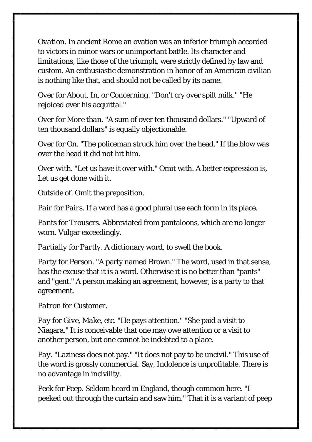*Ovation*. In ancient Rome an ovation was an inferior triumph accorded to victors in minor wars or unimportant battle. Its character and limitations, like those of the triumph, were strictly defined by law and custom. An enthusiastic demonstration in honor of an American civilian is nothing like that, and should not be called by its name.

*Over* for *About*, *In*, or *Concerning*. "Don't cry over spilt milk." "He rejoiced over his acquittal."

*Over* for *More than*. "A sum of over ten thousand dollars." "Upward of ten thousand dollars" is equally objectionable.

*Over* for *On*. "The policeman struck him over the head." If the blow was over the head it did not hit him.

*Over with*. "Let us have it over with." Omit with. A better expression is, Let us get done with it.

*Outside of*. Omit the preposition.

*Pair* for *Pairs*. If a word has a good plural use each form in its place.

*Pants* for *Trousers*. Abbreviated from pantaloons, which are no longer worn. Vulgar exceedingly.

*Partially* for *Partly*. A dictionary word, to swell the book.

*Party* for *Person*. "A party named Brown." The word, used in that sense, has the excuse that it is a word. Otherwise it is no better than "pants" and "gent." A person making an agreement, however, is a party to that agreement.

*Patron* for *Customer*.

*Pay* for *Give*, *Make*, etc. "He pays attention." "She paid a visit to Niagara." It is conceivable that one may owe attention or a visit to another person, but one cannot be indebted to a place.

*Pay*. "Laziness does not pay." "It does not pay to be uncivil." This use of the word is grossly commercial. Say, Indolence is unprofitable. There is no advantage in incivility.

*Peek* for *Peep*. Seldom heard in England, though common here. "I peeked out through the curtain and saw him." That it is a variant of peep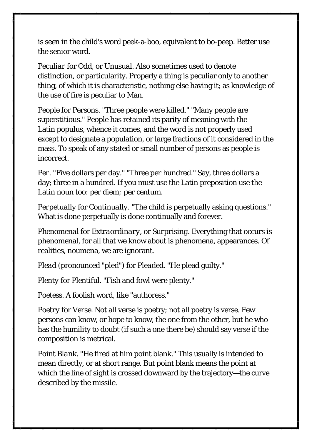is seen in the child's word peek-a-boo, equivalent to bo-peep. Better use the senior word.

*Peculiar* for *Odd*, or *Unusual*. Also sometimes used to denote distinction, or particularity. Properly a thing is peculiar only to another thing, of which it is characteristic, nothing else having it; as knowledge of the use of fire is peculiar to Man.

*People* for *Persons*. "Three people were killed." "Many people are superstitious." People has retained its parity of meaning with the Latin *populus*, whence it comes, and the word is not properly used except to designate a population, or large fractions of it considered in the mass. To speak of any stated or small number of persons as people is incorrect.

*Per*. "Five dollars *per* day." "Three *per* hundred." Say, three dollars a day; three in a hundred. If you must use the Latin preposition use the Latin noun too: *per diem; per centum*.

*Perpetually* for *Continually*. "The child is perpetually asking questions." What is done perpetually is done continually and forever.

*Phenomenal* for *Extraordinary*, or *Surprising*. Everything that occurs is phenomenal, for all that we know about is phenomena, appearances. Of realities, noumena, we are ignorant.

*Plead* (pronounced "pled") for *Pleaded*. "He plead guilty."

*Plenty* for *Plentiful*. "Fish and fowl were plenty."

*Poetess*. A foolish word, like "authoress."

*Poetry* for *Verse*. Not all verse is poetry; not all poetry is verse. Few persons can know, or hope to know, the one from the other, but he who has the humility to doubt (if such a one there be) should say verse if the composition is metrical.

*Point Blank*. "He fired at him point blank." This usually is intended to mean directly, or at short range. But point blank means the point at which the line of sight is crossed downward by the trajectory—the curve described by the missile.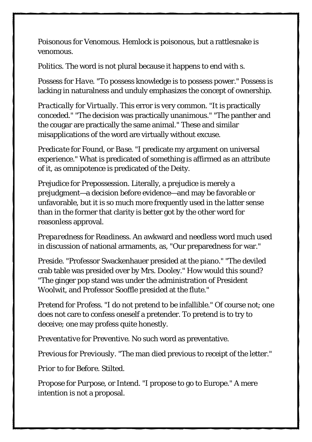*Poisonous* for *Venomous*. Hemlock is poisonous, but a rattlesnake is venomous.

*Politics*. The word is not plural because it happens to end with s.

*Possess* for *Have*. "To possess knowledge is to possess power." Possess is lacking in naturalness and unduly emphasizes the concept of ownership.

*Practically* for *Virtually*. This error is very common. "It is practically conceded." "The decision was practically unanimous." "The panther and the cougar are practically the same animal." These and similar misapplications of the word are virtually without excuse.

*Predicate* for *Found*, or *Base*. "I predicate my argument on universal experience." What is predicated of something is affirmed as an attribute of it, as omnipotence is predicated of the Deity.

*Prejudice* for *Prepossession*. Literally, a prejudice is merely a prejudgment—a decision before evidence—and may be favorable or unfavorable, but it is so much more frequently used in the latter sense than in the former that clarity is better got by the other word for reasonless approval.

*Preparedness* for *Readiness*. An awkward and needless word much used in discussion of national armaments, as, "Our preparedness for war."

*Preside*. "Professor Swackenhauer presided at the piano." "The deviled crab table was presided over by Mrs. Dooley." How would this sound? "The ginger pop stand was under the administration of President Woolwit, and Professor Sooffle presided at the flute."

*Pretend* for *Profess*. "I do not pretend to be infallible." Of course not; one does not care to confess oneself a pretender. To pretend is to try to deceive; one may profess quite honestly.

*Preventative* for *Preventive*. No such word as preventative.

*Previous* for *Previously*. "The man died previous to receipt of the letter."

*Prior to* for *Before*. Stilted.

*Propose* for *Purpose*, or *Intend*. "I propose to go to Europe." A mere intention is not a proposal.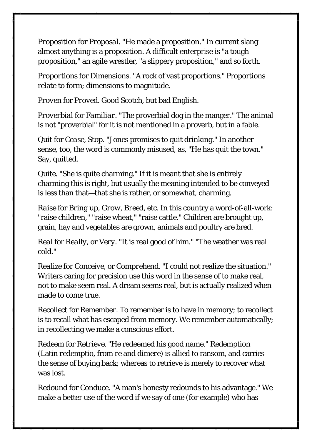*Proposition* for *Proposal*. "He made a proposition." In current slang almost anything is a proposition. A difficult enterprise is "a tough proposition," an agile wrestler, "a slippery proposition," and so forth.

*Proportions* for *Dimensions*. "A rock of vast proportions." Proportions relate to form; dimensions to magnitude.

*Proven* for *Proved*. Good Scotch, but bad English.

*Proverbial* for *Familiar*. "The proverbial dog in the manger." The animal is not "proverbial" for it is not mentioned in a proverb, but in a fable.

*Quit* for *Cease*, *Stop*. "Jones promises to quit drinking." In another sense, too, the word is commonly misused, as, "He has quit the town." Say, quitted.

*Quite*. "She is quite charming." If it is meant that she is entirely charming this is right, but usually the meaning intended to be conveyed is less than that—that she is rather, or somewhat, charming.

*Raise* for *Bring up*, *Grow*, *Breed*, etc. In this country a word-of-all-work: "raise children," "raise wheat," "raise cattle." Children are brought up, grain, hay and vegetables are grown, animals and poultry are bred.

*Real* for *Really*, or *Very*. "It is real good of him." "The weather was real cold."

*Realize* for *Conceive*, or *Comprehend*. "I could not realize the situation." Writers caring for precision use this word in the sense of to make real, not to make seem real. A dream seems real, but is actually realized when made to come true.

*Recollect* for *Remember*. To remember is to have in memory; to recollect is to recall what has escaped from memory. We remember automatically; in recollecting we make a conscious effort.

*Redeem* for *Retrieve*. "He redeemed his good name." Redemption (Latin *redemptio*, from *re* and *dimere*) is allied to ransom, and carries the sense of buying back; whereas to retrieve is merely to recover what was lost.

*Redound* for *Conduce*. "A man's honesty redounds to his advantage." We make a better use of the word if we say of one (for example) who has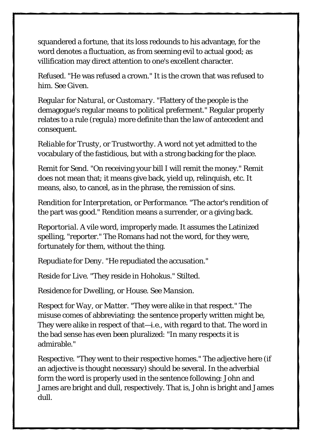squandered a fortune, that its loss redounds to his advantage, for the word denotes a fluctuation, as from seeming evil to actual good; as villification may direct attention to one's excellent character.

*Refused*. "He was refused a crown." It is the crown that was refused to him. See *Given*.

*Regular* for *Natural*, or *Customary*. "Flattery of the people is the demagogue's regular means to political preferment." Regular properly relates to a rule (*regula*) more definite than the law of antecedent and consequent.

*Reliable* for *Trusty*, or *Trustworthy*. A word not yet admitted to the vocabulary of the fastidious, but with a strong backing for the place.

*Remit* for *Send*. "On receiving your bill I will remit the money." Remit does not mean that; it means give back, yield up, relinquish, etc. It means, also, to cancel, as in the phrase, the remission of sins.

*Rendition* for *Interpretation*, or *Performance*. "The actor's rendition of the part was good." Rendition means a surrender, or a giving back.

*Reportorial*. A vile word, improperly made. It assumes the Latinized spelling, "reporter." The Romans had not the word, for they were, fortunately for them, without the thing.

*Repudiate* for *Deny*. "He repudiated the accusation."

*Reside* for *Live*. "They reside in Hohokus." Stilted.

*Residence* for *Dwelling*, or *House.* See *Mansion*.

*Respect* for *Way*, or *Matter*. "They were alike in that respect." The misuse comes of abbreviating: the sentence properly written might be, They were alike in respect of that—i.e., with regard to that. The word in the bad sense has even been pluralized: "In many respects it is admirable."

*Respective*. "They went to their respective homes." The adjective here (if an adjective is thought necessary) should be several. In the adverbial form the word is properly used in the sentence following: John and James are bright and dull, respectively. That is, John is bright and James dull.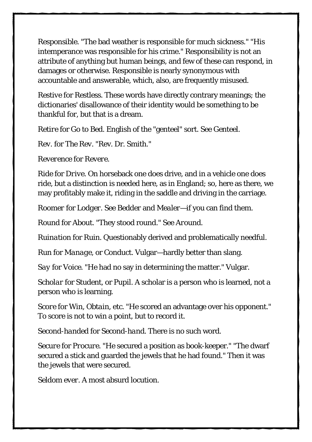*Responsible*. "The bad weather is responsible for much sickness." "His intemperance was responsible for his crime." Responsibility is not an attribute of anything but human beings, and few of these can respond, in damages or otherwise. Responsible is nearly synonymous with accountable and answerable, which, also, are frequently misused.

*Restive* for *Restless*. These words have directly contrary meanings; the dictionaries' disallowance of their identity would be something to be thankful for, but that is a dream.

*Retire* for *Go to Bed*. English of the "genteel" sort. See *Genteel*.

*Rev*. for *The Rev*. "Rev. Dr. Smith."

*Reverence* for *Revere*.

*Ride* for *Drive*. On horseback one does drive, and in a vehicle one does ride, but a distinction is needed here, as in England; so, here as there, we may profitably make it, riding in the saddle and driving in the carriage.

*Roomer* for *Lodger*. See *Bedder* and *Mealer*—if you can find them.

*Round* for *About*. "They stood round." See *Around*.

*Ruination* for *Ruin*. Questionably derived and problematically needful.

*Run* for *Manage*, or *Conduct*. Vulgar—hardly better than slang.

*Say* for *Voice*. "He had no say in determining the matter." Vulgar.

*Scholar* for *Student*, or *Pupil*. A scholar is a person who is learned, not a person who is learning.

*Score* for *Win*, *Obtain*, etc. "He scored an advantage over his opponent." To score is not to win a point, but to record it.

*Second-handed* for *Second-hand*. There is no such word.

*Secure* for *Procure*. "He secured a position as book-keeper." "The dwarf secured a stick and guarded the jewels that he had found." Then it was the jewels that were secured.

*Seldom ever*. A most absurd locution.

 $31$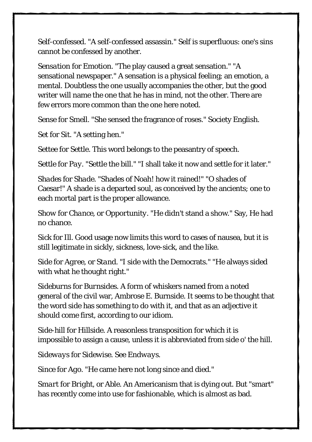*Self-confessed*. "A self-confessed assassin." Self is superfluous: one's sins cannot be confessed by another.

*Sensation* for *Emotion*. "The play caused a great sensation." "A sensational newspaper." A sensation is a physical feeling; an emotion, a mental. Doubtless the one usually accompanies the other, but the good writer will name the one that he has in mind, not the other. There are few errors more common than the one here noted.

*Sense* for *Smell*. "She sensed the fragrance of roses." Society English.

*Set* for *Sit*. "A setting hen."

*Settee* for *Settle*. This word belongs to the peasantry of speech.

*Settle* for *Pay*. "Settle the bill." "I shall take it now and settle for it later."

*Shades* for *Shade*. "Shades of Noah! how it rained!" "O shades of Caesar!" A shade is a departed soul, as conceived by the ancients; one to each mortal part is the proper allowance.

*Show* for *Chance*, or *Opportunity*. "He didn't stand a show." Say, He had no chance.

*Sick* for *Ill*. Good usage now limits this word to cases of nausea, but it is still legitimate in sickly, sickness, love-sick, and the like.

*Side* for *Agree*, or *Stand*. "I side with the Democrats." "He always sided with what he thought right."

*Sideburns* for *Burnsides*. A form of whiskers named from a noted general of the civil war, Ambrose E. Burnside. It seems to be thought that the word side has something to do with it, and that as an adjective it should come first, according to our idiom.

*Side-hill* for *Hillside*. A reasonless transposition for which it is impossible to assign a cause, unless it is abbreviated from side o' the hill.

*Sideways* for *Sidewise*. See *Endways*.

*Since* for *Ago*. "He came here not long since and died."

*Smart* for *Bright*, or *Able*. An Americanism that is dying out. But "smart" has recently come into use for fashionable, which is almost as bad.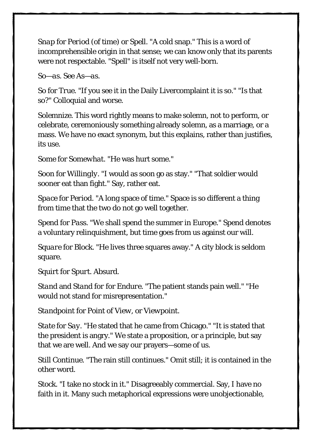*Snap* for *Period* (of time) or *Spell*. "A cold snap." This is a word of incomprehensible origin in that sense; we can know only that its parents were not respectable. "Spell" is itself not very well-born.

*So—as*. See *As—as*.

*So* for *True*. "If you see it in the Daily Livercomplaint it is so." "Is that so?" Colloquial and worse.

*Solemnize*. This word rightly means to make solemn, not to perform, or celebrate, ceremoniously something already solemn, as a marriage, or a mass. We have no exact synonym, but this explains, rather than justifies, its use.

*Some* for *Somewhat*. "He was hurt some."

*Soon* for *Willingly*. "I would as soon go as stay." "That soldier would sooner eat than fight." Say, rather eat.

*Space* for *Period*. "A long space of time." Space is so different a thing from time that the two do not go well together.

*Spend* for *Pass*. "We shall spend the summer in Europe." Spend denotes a voluntary relinquishment, but time goes from us against our will.

*Square* for *Block*. "He lives three squares away." A city block is seldom square.

*Squirt* for *Spurt*. Absurd.

*Stand* and *Stand for* for *Endure*. "The patient stands pain well." "He would not stand for misrepresentation."

*Standpoint* for *Point of View*, or *Viewpoint*.

*State* for *Say*. "He stated that he came from Chicago." "It is stated that the president is angry." We state a proposition, or a principle, but say that we are well. And we say our prayers—some of us.

*Still Continue*. "The rain still continues." Omit still; it is contained in the other word.

*Stock*. "I take no stock in it." Disagreeably commercial. Say, I have no faith in it. Many such metaphorical expressions were unobjectionable,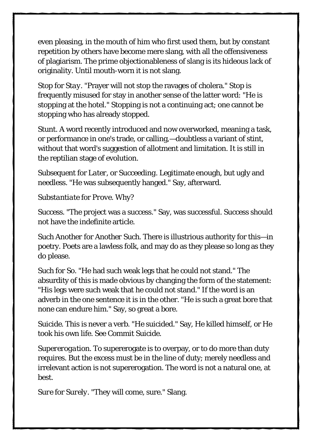even pleasing, in the mouth of him who first used them, but by constant repetition by others have become mere slang, with all the offensiveness of plagiarism. The prime objectionableness of slang is its hideous lack of originality. Until mouth-worn it is not slang.

*Stop* for *Stay*. "Prayer will not stop the ravages of cholera." Stop is frequently misused for stay in another sense of the latter word: "He is stopping at the hotel." Stopping is not a continuing act; one cannot be stopping who has already stopped.

*Stunt*. A word recently introduced and now overworked, meaning a task, or performance in one's trade, or calling,—doubtless a variant of stint, without that word's suggestion of allotment and limitation. It is still in the reptilian stage of evolution.

*Subsequent* for *Later*, or *Succeeding*. Legitimate enough, but ugly and needless. "He was subsequently hanged." Say, afterward.

#### *Substantiate* for *Prove*. Why?

*Success*. "The project was a success." Say, was successful. Success should not have the indefinite article.

*Such Another* for *Another Such*. There is illustrious authority for this—in poetry. Poets are a lawless folk, and may do as they please so long as they do please.

*Such* for *So*. "He had such weak legs that he could not stand." The absurdity of this is made obvious by changing the form of the statement: "His legs were such weak that he could not stand." If the word is an adverb in the one sentence it is in the other. "He is such a great bore that none can endure him." Say, so great a bore.

*Suicide*. This is never a verb. "He suicided." Say, He killed himself, or He took his own life. See *Commit Suicide*.

*Supererogation*. To supererogate is to overpay, or to do more than duty requires. But the excess must be in the line of duty; merely needless and irrelevant action is not supererogation. The word is not a natural one, at best.

*Sure* for *Surely*. "They will come, sure." Slang.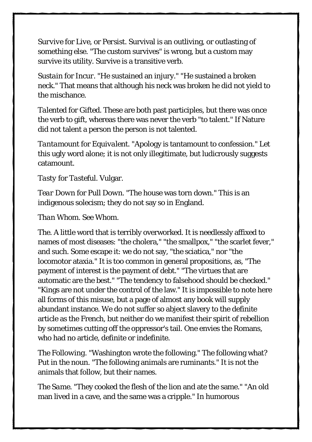*Survive* for *Live*, or *Persist*. Survival is an outliving, or outlasting of something else. "The custom survives" is wrong, but a custom may survive its utility. Survive is a transitive verb.

*Sustain* for *Incur*. "He sustained an injury." "He sustained a broken neck." That means that although his neck was broken he did not yield to the mischance.

*Talented* for *Gifted*. These are both past participles, but there was once the verb to gift, whereas there was never the verb "to talent." If Nature did not talent a person the person is not talented.

*Tantamount* for *Equivalent*. "Apology is tantamount to confession." Let this ugly word alone; it is not only illegitimate, but ludicrously suggests catamount.

#### *Tasty* for *Tasteful*. Vulgar.

*Tear Down* for *Pull Down*. "The house was torn down." This is an indigenous solecism; they do not say so in England.

#### *Than Whom*. See *Whom*.

*The*. A little word that is terribly overworked. It is needlessly affixed to names of most diseases: "the cholera," "the smallpox," "the scarlet fever," and such. Some escape it: we do not say, "the sciatica," nor "the locomotor ataxia." It is too common in general propositions, as, "The payment of interest is the payment of debt." "The virtues that are automatic are the best." "The tendency to falsehood should be checked." "Kings are not under the control of the law." It is impossible to note here all forms of this misuse, but a page of almost any book will supply abundant instance. We do not suffer so abject slavery to the definite article as the French, but neither do we manifest their spirit of rebellion by sometimes cutting off the oppressor's tail. One envies the Romans, who had no article, definite or indefinite.

*The Following*. "Washington wrote the following." The following what? Put in the noun. "The following animals are ruminants." It is not the animals that follow, but their names.

*The Same*. "They cooked the flesh of the lion and ate the same." "An old man lived in a cave, and the same was a cripple." In humorous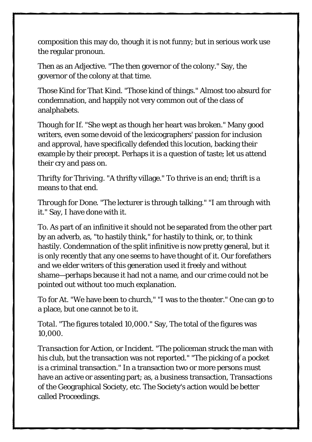composition this may do, though it is not funny; but in serious work use the regular pronoun.

*Then* as an Adjective. "The then governor of the colony." Say, the governor of the colony at that time.

*Those Kind* for *That Kind*. "Those kind of things." Almost too absurd for condemnation, and happily not very common out of the class of analphabets.

*Though* for *If*. "She wept as though her heart was broken." Many good writers, even some devoid of the lexicographers' passion for inclusion and approval, have specifically defended this locution, backing their example by their precept. Perhaps it is a question of taste; let us attend their cry and pass on.

*Thrifty* for *Thriving*. "A thrifty village." To thrive is an end; thrift is a means to that end.

*Through* for *Done*. "The lecturer is through talking." "I am through with it." Say, I have done with it.

*To*. As part of an infinitive it should not be separated from the other part by an adverb, as, "to hastily think," for hastily to think, or, to think hastily. Condemnation of the split infinitive is now pretty general, but it is only recently that any one seems to have thought of it. Our forefathers and we elder writers of this generation used it freely and without shame—perhaps because it had not a name, and our crime could not be pointed out without too much explanation.

*To* for *At*. "We have been to church," "I was to the theater." One can go to a place, but one cannot be to it.

*Total*. "The figures totaled 10,000." Say, The total of the figures was 10,000.

*Transaction* for *Action*, or *Incident*. "The policeman struck the man with his club, but the transaction was not reported." "The picking of a pocket is a criminal transaction." In a transaction two or more persons must have an active or assenting part; as, a business transaction, Transactions of the Geographical Society, etc. The Society's action would be better called Proceedings.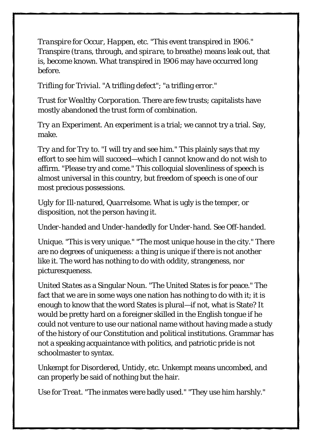*Transpire* for *Occur*, *Happen*, etc. "This event transpired in 1906." Transpire (*trans*, through, and *spirare*, to breathe) means leak out, that is, become known. What transpired in 1906 may have occurred long before.

*Trifling* for *Trivial*. "A trifling defect"; "a trifling error."

*Trust* for *Wealthy Corporation*. There are few trusts; capitalists have mostly abandoned the trust form of combination.

*Try an Experiment*. An experiment is a trial; we cannot try a trial. Say, make.

*Try and* for *Try to*. "I will try and see him." This plainly says that my effort to see him will succeed—which I cannot know and do not wish to affirm. "Please try and come." This colloquial slovenliness of speech is almost universal in this country, but freedom of speech is one of our most precious possessions.

*Ugly* for *Ill-natured*, *Quarrelsome*. What is ugly is the temper, or disposition, not the person having it.

*Under-handed* and *Under-handedly* for *Under-hand.* See *Off-handed.*

*Unique*. "This is very unique." "The most unique house in the city." There are no degrees of uniqueness: a thing is unique if there is not another like it. The word has nothing to do with oddity, strangeness, nor picturesqueness.

*United States* as a Singular Noun. "The United States is for peace." The fact that we are in some ways one nation has nothing to do with it; it is enough to know that the word States is plural—if not, what is State? It would be pretty hard on a foreigner skilled in the English tongue if he could not venture to use our national name without having made a study of the history of our Constitution and political institutions. Grammar has not a speaking acquaintance with politics, and patriotic pride is not schoolmaster to syntax.

*Unkempt* for *Disordered*, *Untidy*, etc. Unkempt means uncombed, and can properly be said of nothing but the hair.

*Use* for *Treat*. "The inmates were badly used." "They use him harshly."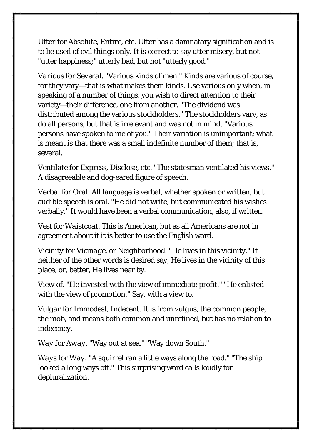*Utter* for *Absolute*, *Entire*, etc. Utter has a damnatory signification and is to be used of evil things only. It is correct to say utter misery, but not "utter happiness;" utterly bad, but not "utterly good."

*Various* for *Several*. "Various kinds of men." Kinds are various of course, for they vary—that is what makes them kinds. Use various only when, in speaking of a number of things, you wish to direct attention to their variety—their difference, one from another. "The dividend was distributed among the various stockholders." The stockholders vary, as do all persons, but that is irrelevant and was not in mind. "Various persons have spoken to me of you." Their variation is unimportant; what is meant is that there was a small indefinite number of them; that is, several.

*Ventilate* for *Express, Disclose*, etc. "The statesman ventilated his views." A disagreeable and dog-eared figure of speech.

*Verbal* for *Oral*. All language is verbal, whether spoken or written, but audible speech is oral. "He did not write, but communicated his wishes verbally." It would have been a verbal communication, also, if written.

*Vest* for *Waistcoat*. This is American, but as all Americans are not in agreement about it it is better to use the English word.

*Vicinity* for *Vicinage*, or *Neighborhood*. "He lives in this vicinity." If neither of the other words is desired say, He lives in the vicinity of this place, or, better, He lives near by.

*View of*. "He invested with the view of immediate profit." "He enlisted with the view of promotion." Say, with a view to.

*Vulgar* for *Immodest*, *Indecent*. It is from *vulgus*, the common people, the mob, and means both common and unrefined, but has no relation to indecency.

*Way* for *Away*. "Way out at sea." "Way down South."

*Ways* for *Way*. "A squirrel ran a little ways along the road." "The ship looked a long ways off." This surprising word calls loudly for depluralization.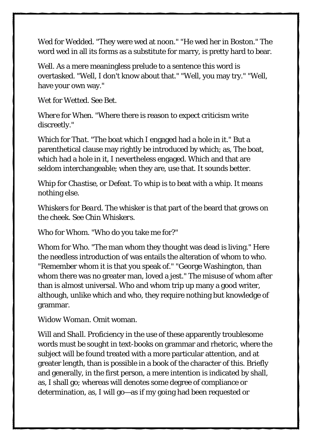*Wed* for *Wedded*. "They were wed at noon." "He wed her in Boston." The word wed in all its forms as a substitute for marry, is pretty hard to bear.

*Well*. As a mere meaningless prelude to a sentence this word is overtasked. "Well, I don't know about that." "Well, you may try." "Well, have your own way."

*Wet* for *Wetted*. See *Bet*.

*Where* for *When*. "Where there is reason to expect criticism write discreetly."

*Which* for *That*. "The boat which I engaged had a hole in it." But a parenthetical clause may rightly be introduced by which; as, The boat, which had a hole in it, I nevertheless engaged. Which and that are seldom interchangeable; when they are, use that. It sounds better.

*Whip* for *Chastise*, or *Defeat*. To whip is to beat with a whip. It means nothing else.

*Whiskers* for *Beard*. The whisker is that part of the beard that grows on the cheek. See *Chin Whiskers*.

*Who* for *Whom*. "Who do you take me for?"

*Whom* for *Who*. "The man whom they thought was dead is living." Here the needless introduction of was entails the alteration of whom to who. "Remember whom it is that you speak of." "George Washington, than whom there was no greater man, loved a jest." The misuse of whom after than is almost universal. Who and whom trip up many a good writer, although, unlike which and who, they require nothing but knowledge of grammar.

*Widow Woman*. Omit woman.

*Will* and *Shall*. Proficiency in the use of these apparently troublesome words must be sought in text-books on grammar and rhetoric, where the subject will be found treated with a more particular attention, and at greater length, than is possible in a book of the character of this. Briefly and generally, in the first person, a mere intention is indicated by shall, as, I shall go; whereas will denotes some degree of compliance or determination, as, I will go—as if my going had been requested or